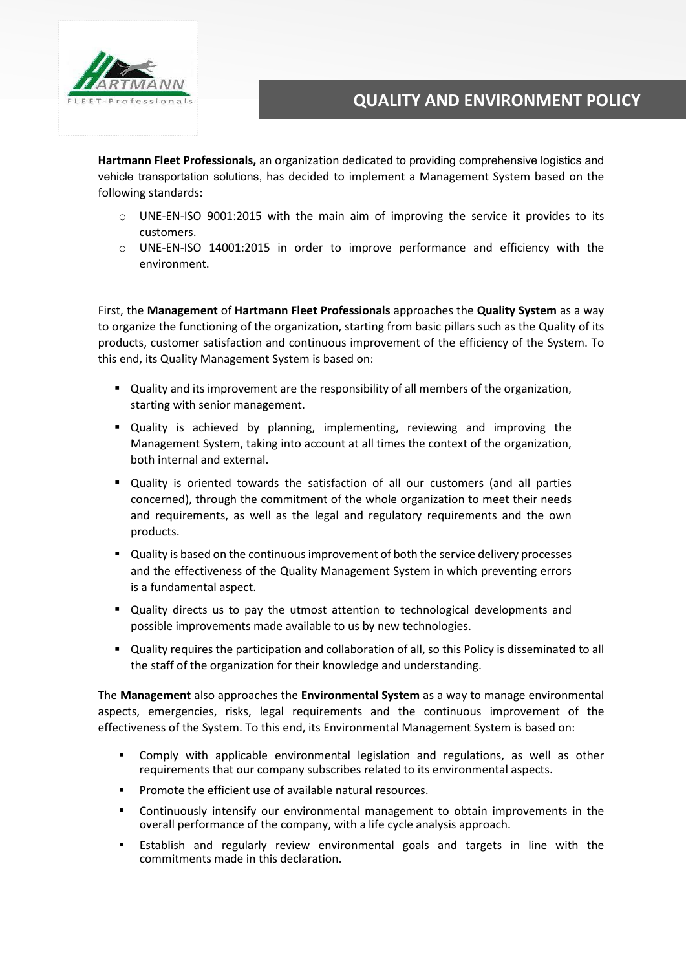

**Hartmann Fleet Professionals,** an organization dedicated to providing comprehensive logistics and vehicle transportation solutions, has decided to implement a Management System based on the following standards:

- o UNE-EN-ISO 9001:2015 with the main aim of improving the service it provides to its customers.
- o UNE-EN-ISO 14001:2015 in order to improve performance and efficiency with the environment.

First, the **Management** of **Hartmann Fleet Professionals** approaches the **Quality System** as a way to organize the functioning of the organization, starting from basic pillars such as the Quality of its products, customer satisfaction and continuous improvement of the efficiency of the System. To this end, its Quality Management System is based on:

- Quality and its improvement are the responsibility of all members of the organization, starting with senior management.
- Quality is achieved by planning, implementing, reviewing and improving the Management System, taking into account at all times the context of the organization, both internal and external.
- Quality is oriented towards the satisfaction of all our customers (and all parties concerned), through the commitment of the whole organization to meet their needs and requirements, as well as the legal and regulatory requirements and the own products.
- **Quality is based on the continuous improvement of both the service delivery processes** and the effectiveness of the Quality Management System in which preventing errors is a fundamental aspect.
- Quality directs us to pay the utmost attention to technological developments and possible improvements made available to us by new technologies.
- Quality requires the participation and collaboration of all, so this Policy is disseminated to all the staff of the organization for their knowledge and understanding.

The **Management** also approaches the **Environmental System** as a way to manage environmental aspects, emergencies, risks, legal requirements and the continuous improvement of the effectiveness of the System. To this end, its Environmental Management System is based on:

- Comply with applicable environmental legislation and regulations, as well as other requirements that our company subscribes related to its environmental aspects.
- **Promote the efficient use of available natural resources.**
- Continuously intensify our environmental management to obtain improvements in the overall performance of the company, with a life cycle analysis approach.
- Establish and regularly review environmental goals and targets in line with the commitments made in this declaration.